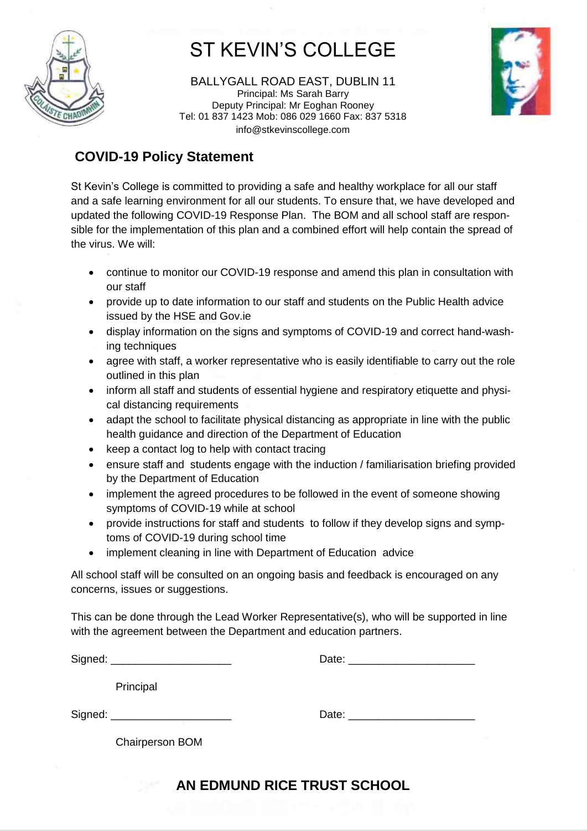

# ST KEVIN'S COLLEGE

BALLYGALL ROAD EAST, DUBLIN 11 Principal: Ms Sarah Barry Deputy Principal: Mr Eoghan Rooney Tel: 01 837 1423 Mob: 086 029 1660 Fax: 837 5318 info@stkevinscollege.com



### **COVID-19 Policy Statement**

St Kevin's College is committed to providing a safe and healthy workplace for all our staff and a safe learning environment for all our students. To ensure that, we have developed and updated the following COVID-19 Response Plan. The BOM and all school staff are responsible for the implementation of this plan and a combined effort will help contain the spread of the virus. We will:

- continue to monitor our COVID-19 response and amend this plan in consultation with our staff
- provide up to date information to our staff and students on the Public Health advice issued by the HSE and Gov.ie
- display information on the signs and symptoms of COVID-19 and correct hand-washing techniques
- agree with staff, a worker representative who is easily identifiable to carry out the role outlined in this plan
- inform all staff and students of essential hygiene and respiratory etiquette and physical distancing requirements
- adapt the school to facilitate physical distancing as appropriate in line with the public health guidance and direction of the Department of Education
- keep a contact log to help with contact tracing
- ensure staff and students engage with the induction / familiarisation briefing provided by the Department of Education
- implement the agreed procedures to be followed in the event of someone showing symptoms of COVID-19 while at school
- provide instructions for staff and students to follow if they develop signs and symptoms of COVID-19 during school time
- implement cleaning in line with Department of Education advice

All school staff will be consulted on an ongoing basis and feedback is encouraged on any concerns, issues or suggestions.

This can be done through the Lead Worker Representative(s), who will be supported in line with the agreement between the Department and education partners.

| Signed: _______________________ | Date: <u>_________________________</u>                                                                                                                                                                                         |
|---------------------------------|--------------------------------------------------------------------------------------------------------------------------------------------------------------------------------------------------------------------------------|
| Principal                       |                                                                                                                                                                                                                                |
| Signed: _______________________ | Date: the contract of the contract of the contract of the contract of the contract of the contract of the contract of the contract of the contract of the contract of the contract of the contract of the contract of the cont |
| <b>Chairperson BOM</b>          |                                                                                                                                                                                                                                |

## **AN EDMUND RICE TRUST SCHOOL**